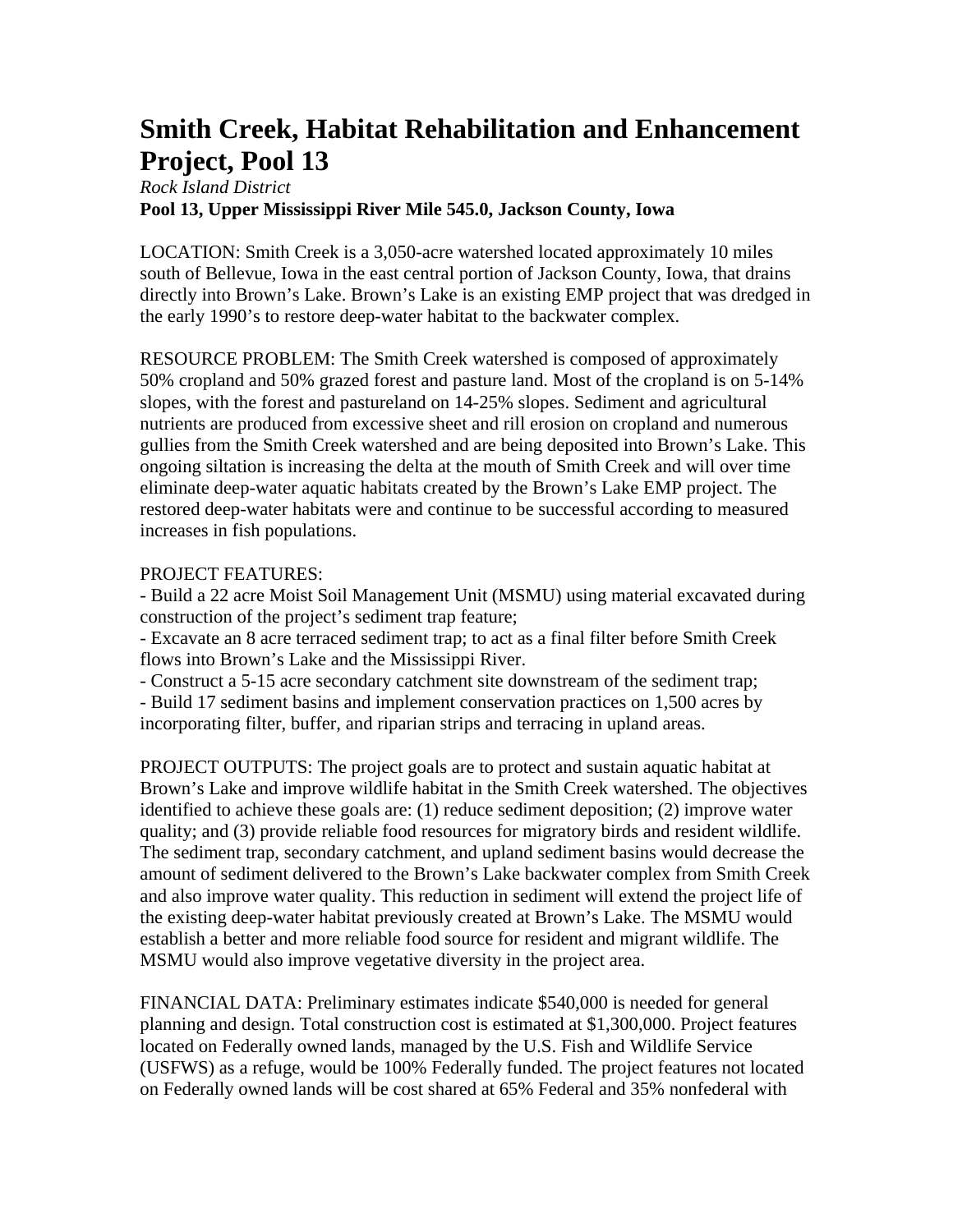## **Smith Creek, Habitat Rehabilitation and Enhancement Project, Pool 13**

## *Rock Island District*  **Pool 13, Upper Mississippi River Mile 545.0, Jackson County, Iowa**

LOCATION: Smith Creek is a 3,050-acre watershed located approximately 10 miles south of Bellevue, Iowa in the east central portion of Jackson County, Iowa, that drains directly into Brown's Lake. Brown's Lake is an existing EMP project that was dredged in the early 1990's to restore deep-water habitat to the backwater complex.

RESOURCE PROBLEM: The Smith Creek watershed is composed of approximately 50% cropland and 50% grazed forest and pasture land. Most of the cropland is on 5-14% slopes, with the forest and pastureland on 14-25% slopes. Sediment and agricultural nutrients are produced from excessive sheet and rill erosion on cropland and numerous gullies from the Smith Creek watershed and are being deposited into Brown's Lake. This ongoing siltation is increasing the delta at the mouth of Smith Creek and will over time eliminate deep-water aquatic habitats created by the Brown's Lake EMP project. The restored deep-water habitats were and continue to be successful according to measured increases in fish populations.

## PROJECT FEATURES:

- Build a 22 acre Moist Soil Management Unit (MSMU) using material excavated during construction of the project's sediment trap feature;

- Excavate an 8 acre terraced sediment trap; to act as a final filter before Smith Creek flows into Brown's Lake and the Mississippi River.

- Construct a 5-15 acre secondary catchment site downstream of the sediment trap;

- Build 17 sediment basins and implement conservation practices on 1,500 acres by incorporating filter, buffer, and riparian strips and terracing in upland areas.

PROJECT OUTPUTS: The project goals are to protect and sustain aquatic habitat at Brown's Lake and improve wildlife habitat in the Smith Creek watershed. The objectives identified to achieve these goals are: (1) reduce sediment deposition; (2) improve water quality; and (3) provide reliable food resources for migratory birds and resident wildlife. The sediment trap, secondary catchment, and upland sediment basins would decrease the amount of sediment delivered to the Brown's Lake backwater complex from Smith Creek and also improve water quality. This reduction in sediment will extend the project life of the existing deep-water habitat previously created at Brown's Lake. The MSMU would establish a better and more reliable food source for resident and migrant wildlife. The MSMU would also improve vegetative diversity in the project area.

FINANCIAL DATA: Preliminary estimates indicate \$540,000 is needed for general planning and design. Total construction cost is estimated at \$1,300,000. Project features located on Federally owned lands, managed by the U.S. Fish and Wildlife Service (USFWS) as a refuge, would be 100% Federally funded. The project features not located on Federally owned lands will be cost shared at 65% Federal and 35% nonfederal with